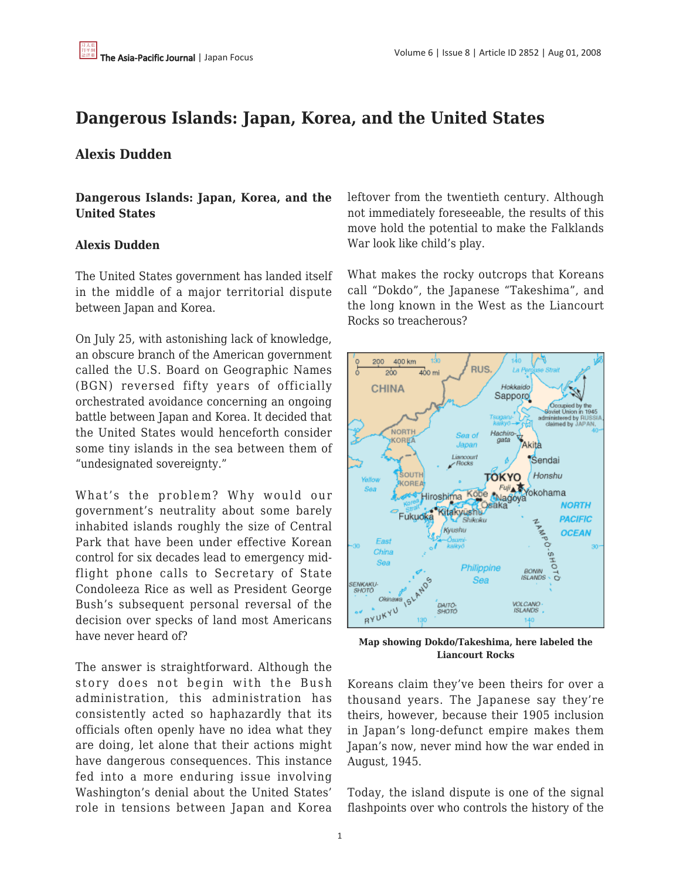## **Dangerous Islands: Japan, Korea, and the United States**

## **Alexis Dudden**

**Dangerous Islands: Japan, Korea, and the United States**

## **Alexis Dudden**

The United States government has landed itself in the middle of a major territorial dispute between Japan and Korea.

On July 25, with astonishing lack of knowledge, an obscure branch of the American government called the U.S. Board on Geographic Names (BGN) reversed fifty years of officially orchestrated avoidance concerning an ongoing battle between Japan and Korea. It decided that the United States would henceforth consider some tiny islands in the sea between them of "undesignated sovereignty."

What's the problem? Why would our government's neutrality about some barely inhabited islands roughly the size of Central Park that have been under effective Korean control for six decades lead to emergency midflight phone calls to Secretary of State Condoleeza Rice as well as President George Bush's subsequent personal reversal of the decision over specks of land most Americans have never heard of?

The answer is straightforward. Although the story does not begin with the Bush administration, this administration has consistently acted so haphazardly that its officials often openly have no idea what they are doing, let alone that their actions might have dangerous consequences. This instance fed into a more enduring issue involving Washington's denial about the United States' role in tensions between Japan and Korea leftover from the twentieth century. Although not immediately foreseeable, the results of this move hold the potential to make the Falklands War look like child's play.

What makes the rocky outcrops that Koreans call "Dokdo", the Japanese "Takeshima", and the long known in the West as the Liancourt Rocks so treacherous?



**Map showing Dokdo/Takeshima, here labeled the Liancourt Rocks**

Koreans claim they've been theirs for over a thousand years. The Japanese say they're theirs, however, because their 1905 inclusion in Japan's long-defunct empire makes them Japan's now, never mind how the war ended in August, 1945.

Today, the island dispute is one of the signal flashpoints over who controls the history of the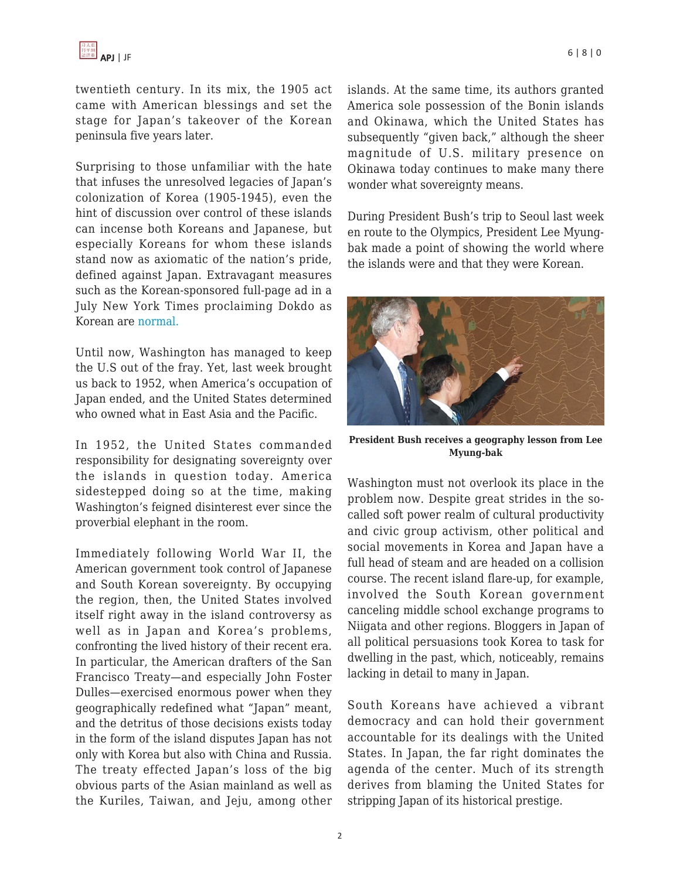twentieth century. In its mix, the 1905 act came with American blessings and set the stage for Japan's takeover of the Korean peninsula five years later.

Surprising to those unfamiliar with the hate that infuses the unresolved legacies of Japan's colonization of Korea (1905-1945), even the hint of discussion over control of these islands can incense both Koreans and Japanese, but especially Koreans for whom these islands stand now as axiomatic of the nation's pride, defined against Japan. Extravagant measures such as the Korean-sponsored full-page ad in a July New York Times proclaiming Dokdo as Korean are [normal.](http://www.forthenextgeneration.com/)

Until now, Washington has managed to keep the U.S out of the fray. Yet, last week brought us back to 1952, when America's occupation of Japan ended, and the United States determined who owned what in East Asia and the Pacific.

In 1952, the United States commanded responsibility for designating sovereignty over the islands in question today. America sidestepped doing so at the time, making Washington's feigned disinterest ever since the proverbial elephant in the room.

Immediately following World War II, the American government took control of Japanese and South Korean sovereignty. By occupying the region, then, the United States involved itself right away in the island controversy as well as in Japan and Korea's problems, confronting the lived history of their recent era. In particular, the American drafters of the San Francisco Treaty—and especially John Foster Dulles—exercised enormous power when they geographically redefined what "Japan" meant, and the detritus of those decisions exists today in the form of the island disputes Japan has not only with Korea but also with China and Russia. The treaty effected Japan's loss of the big obvious parts of the Asian mainland as well as the Kuriles, Taiwan, and Jeju, among other islands. At the same time, its authors granted America sole possession of the Bonin islands and Okinawa, which the United States has subsequently "given back," although the sheer magnitude of U.S. military presence on Okinawa today continues to make many there wonder what sovereignty means.

During President Bush's trip to Seoul last week en route to the Olympics, President Lee Myungbak made a point of showing the world where the islands were and that they were Korean.



**President Bush receives a geography lesson from Lee Myung-bak**

Washington must not overlook its place in the problem now. Despite great strides in the socalled soft power realm of cultural productivity and civic group activism, other political and social movements in Korea and Japan have a full head of steam and are headed on a collision course. The recent island flare-up, for example, involved the South Korean government canceling middle school exchange programs to Niigata and other regions. Bloggers in Japan of all political persuasions took Korea to task for dwelling in the past, which, noticeably, remains lacking in detail to many in Japan.

South Koreans have achieved a vibrant democracy and can hold their government accountable for its dealings with the United States. In Japan, the far right dominates the agenda of the center. Much of its strength derives from blaming the United States for stripping Japan of its historical prestige.